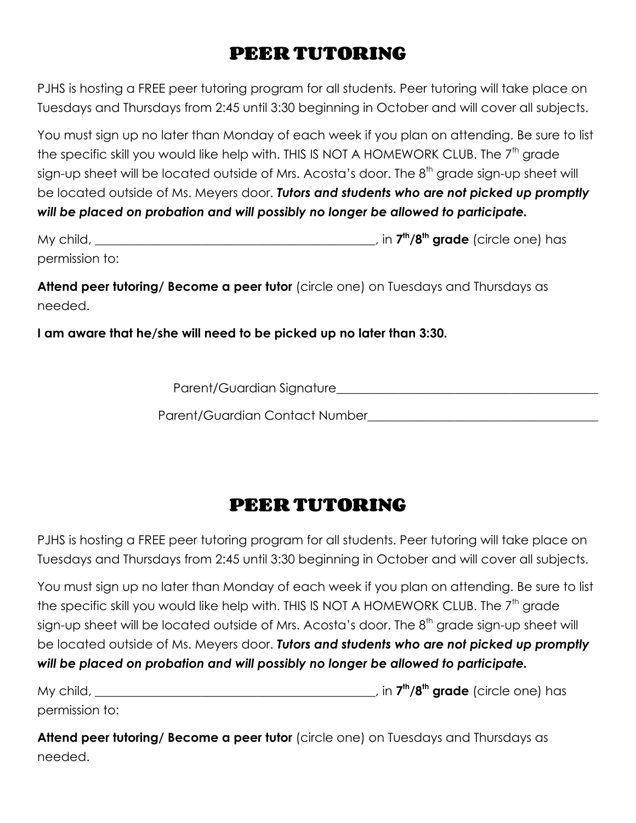## **PEER TUTORING**

PJHS is hosting a FREE peer tutoring program for all students. Peer tutoring will take place on Tuesdays and Thursdays from 2:45 until 3:30 beginning in October and will cover all subjects.

You must sign up no later than Monday of each week if you plan on attending. Be sure to list the specific skill you would like help with. THIS IS NOT A HOMEWORK CLUB. The  $7<sup>th</sup>$  grade sign-up sheet will be located outside of Mrs. Acosta's door. The 8<sup>th</sup> grade sign-up sheet will be located outside of Ms. Meyers door. *Tutors and students who are not picked up promptly will be placed on probation and will possibly no longer be allowed to participate.*

| My child,      | , in <b>7<sup>th</sup>/8<sup>th</sup> grade</b> (circle one) has |
|----------------|------------------------------------------------------------------|
| permission to: |                                                                  |

**Attend peer tutoring/ Become a peer tutor** (circle one) on Tuesdays and Thursdays as needed.

**I am aware that he/she will need to be picked up no later than 3:30.**

Parent/Guardian Signature\_\_\_\_\_\_\_\_\_\_\_\_\_\_\_\_\_\_\_\_\_\_\_\_\_\_\_\_\_\_\_\_\_\_\_\_\_\_\_\_\_\_

Parent/Guardian Contact Number\_\_\_\_\_\_\_\_\_\_\_\_\_\_\_\_\_\_\_\_\_\_\_\_\_\_\_\_\_\_\_\_\_\_\_\_\_

## **PEER TUTORING**

PJHS is hosting a FREE peer tutoring program for all students. Peer tutoring will take place on Tuesdays and Thursdays from 2:45 until 3:30 beginning in October and will cover all subjects.

You must sign up no later than Monday of each week if you plan on attending. Be sure to list the specific skill you would like help with. THIS IS NOT A HOMEWORK CLUB. The  $7<sup>th</sup>$  arade sign-up sheet will be located outside of Mrs. Acosta's door. The 8<sup>th</sup> grade sign-up sheet will be located outside of Ms. Meyers door. *Tutors and students who are not picked up promptly will be placed on probation and will possibly no longer be allowed to participate.*

My child, \_\_\_\_\_\_\_\_\_\_\_\_\_\_\_\_\_\_\_\_\_\_\_\_\_\_\_\_\_\_\_\_\_\_\_\_\_\_\_\_\_\_\_\_\_, in **7 th /8th grade** (circle one) has permission to:

**Attend peer tutoring/ Become a peer tutor** (circle one) on Tuesdays and Thursdays as needed.